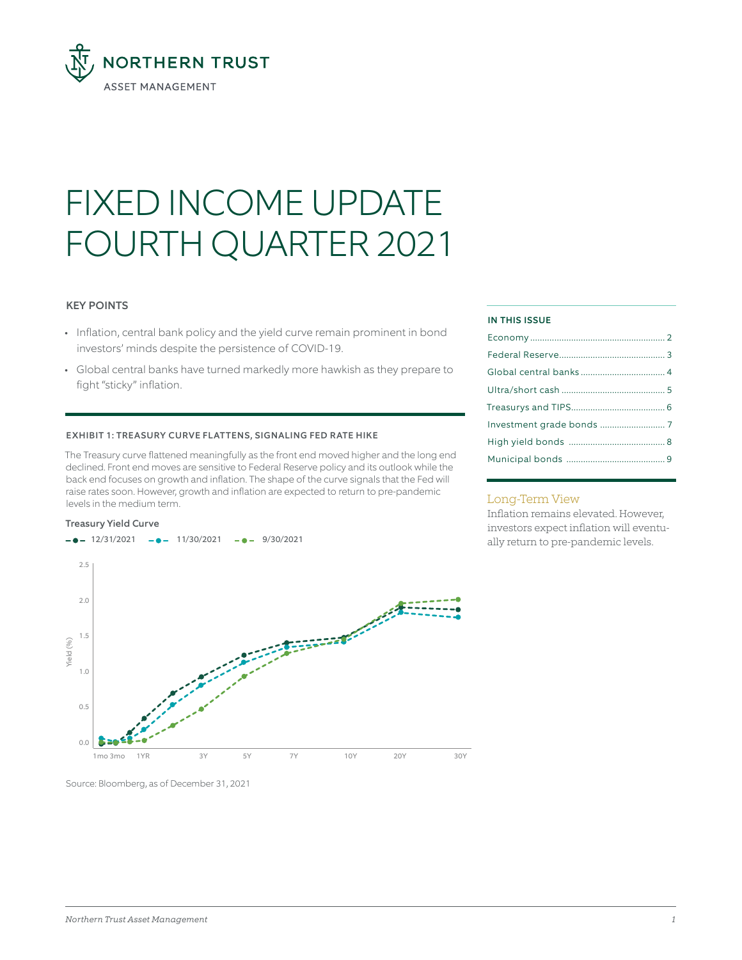

# FIXED INCOME UPDATE FOURTH QUARTER 2021

# KEY POINTS

- Inflation, central bank policy and the yield curve remain prominent in bond investors' minds despite the persistence of COVID-19.
- Global central banks have turned markedly more hawkish as they prepare to fight "sticky" inflation.

### EXHIBIT 1: TREASURY CURVE FLATTENS, SIGNALING FED RATE HIKE

The Treasury curve flattened meaningfully as the front end moved higher and the long end declined. Front end moves are sensitive to Federal Reserve policy and its outlook while the back end focuses on growth and inflation. The shape of the curve signals that the Fed will raise rates soon. However, growth and inflation are expected to return to pre-pandemic levels in the medium term.



#### Treasury Yield Curve

#### IN THIS ISSUE

## Long-Term View

Inflation remains elevated. However, investors expect inflation will eventually return to pre-pandemic levels.

Source: Bloomberg, as of December 31, 2021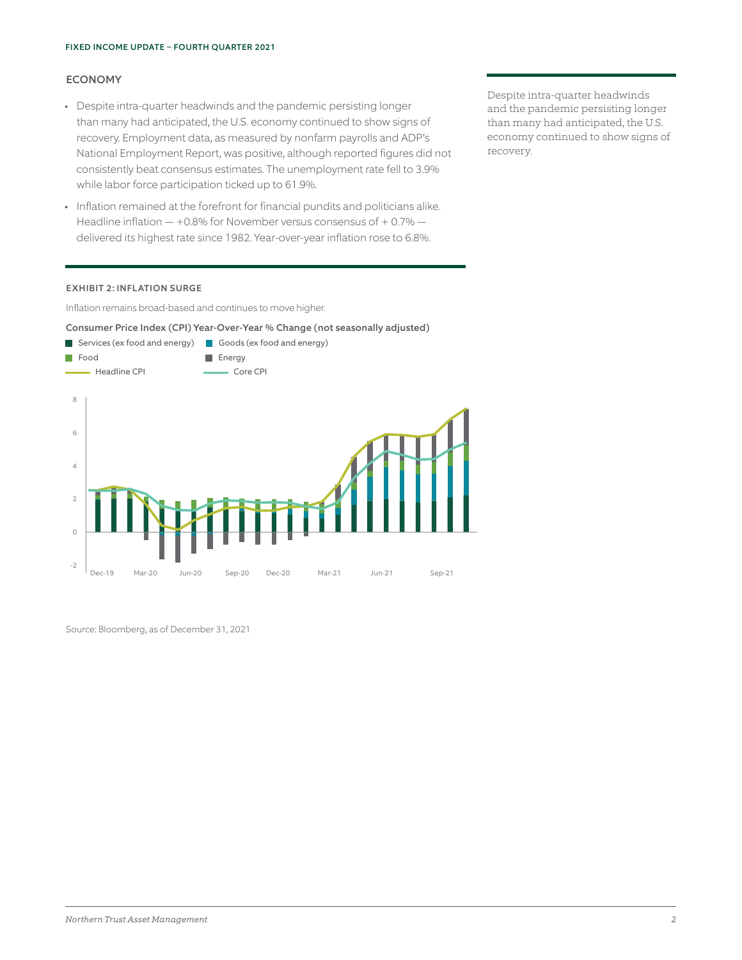# ECONOMY

- Despite intra-quarter headwinds and the pandemic persisting longer than many had anticipated, the U.S. economy continued to show signs of recovery. Employment data, as measured by nonfarm payrolls and ADP's National Employment Report, was positive, although reported figures did not consistently beat consensus estimates. The unemployment rate fell to 3.9% while labor force participation ticked up to 61.9%.
- Inflation remained at the forefront for financial pundits and politicians alike. Headline inflation — +0.8% for November versus consensus of + 0.7% delivered its highest rate since 1982. Year-over-year inflation rose to 6.8%.

Despite intra-quarter headwinds and the pandemic persisting longer than many had anticipated, the U.S. economy continued to show signs of recovery.

#### EXHIBIT 2: INFLATION SURGE

Inflation remains broad-based and continues to move higher.

# Consumer Price Index (CPI) Year-Over-Year % Change (not seasonally adjusted)

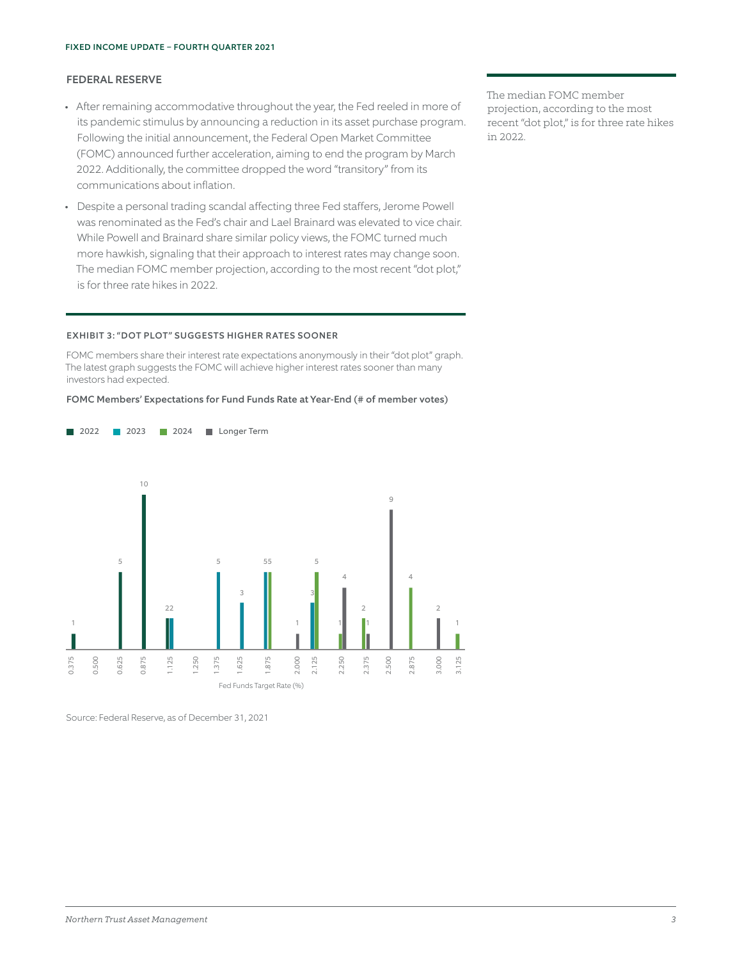## FEDERAL RESERVE

- After remaining accommodative throughout the year, the Fed reeled in more of its pandemic stimulus by announcing a reduction in its asset purchase program. Following the initial announcement, the Federal Open Market Committee (FOMC) announced further acceleration, aiming to end the program by March 2022. Additionally, the committee dropped the word "transitory" from its communications about inflation.
- Despite a personal trading scandal affecting three Fed staffers, Jerome Powell was renominated as the Fed's chair and Lael Brainard was elevated to vice chair. While Powell and Brainard share similar policy views, the FOMC turned much more hawkish, signaling that their approach to interest rates may change soon. The median FOMC member projection, according to the most recent "dot plot," is for three rate hikes in 2022.

#### EXHIBIT 3: "DOT PLOT" SUGGESTS HIGHER RATES SOONER

**2022 2023 2024 Longer Term** 

FOMC members share their interest rate expectations anonymously in their "dot plot" graph. The latest graph suggests the FOMC will achieve higher interest rates sooner than many investors had expected.

#### FOMC Members' Expectations for Fund Funds Rate at Year-End (# of member votes)



Source: Federal Reserve, as of December 31, 2021

The median FOMC member projection, according to the most recent "dot plot," is for three rate hikes in 2022.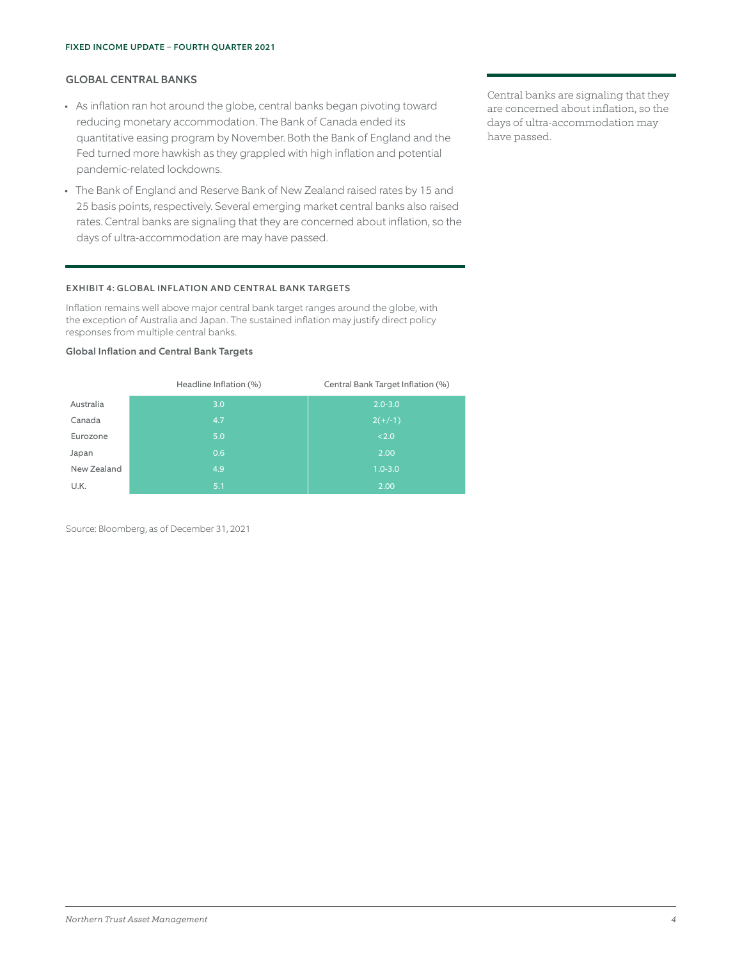# GLOBAL CENTRAL BANKS

- As inflation ran hot around the globe, central banks began pivoting toward reducing monetary accommodation. The Bank of Canada ended its quantitative easing program by November. Both the Bank of England and the Fed turned more hawkish as they grappled with high inflation and potential pandemic-related lockdowns.
- The Bank of England and Reserve Bank of New Zealand raised rates by 15 and 25 basis points, respectively. Several emerging market central banks also raised rates. Central banks are signaling that they are concerned about inflation, so the days of ultra-accommodation are may have passed.

## EXHIBIT 4: GLOBAL INFLATION AND CENTRAL BANK TARGETS

Inflation remains well above major central bank target ranges around the globe, with the exception of Australia and Japan. The sustained inflation may justify direct policy responses from multiple central banks.

#### Global Inflation and Central Bank Targets

|             | Headline Inflation (%) | Central Bank Target Inflation (%) |
|-------------|------------------------|-----------------------------------|
| Australia   | 3.0                    | $2.0 - 3.0$                       |
| Canada      | 4.7                    | $2(+/-1)$                         |
| Eurozone    | 5.0                    | < 2.0                             |
| Japan       | 0.6                    | 2.00                              |
| New Zealand | 4.9                    | $1.0 - 3.0$                       |
| U.K.        | 5.1                    | 2.00                              |

Source: Bloomberg, as of December 31, 2021

Central banks are signaling that they are concerned about inflation, so the days of ultra-accommodation may have passed.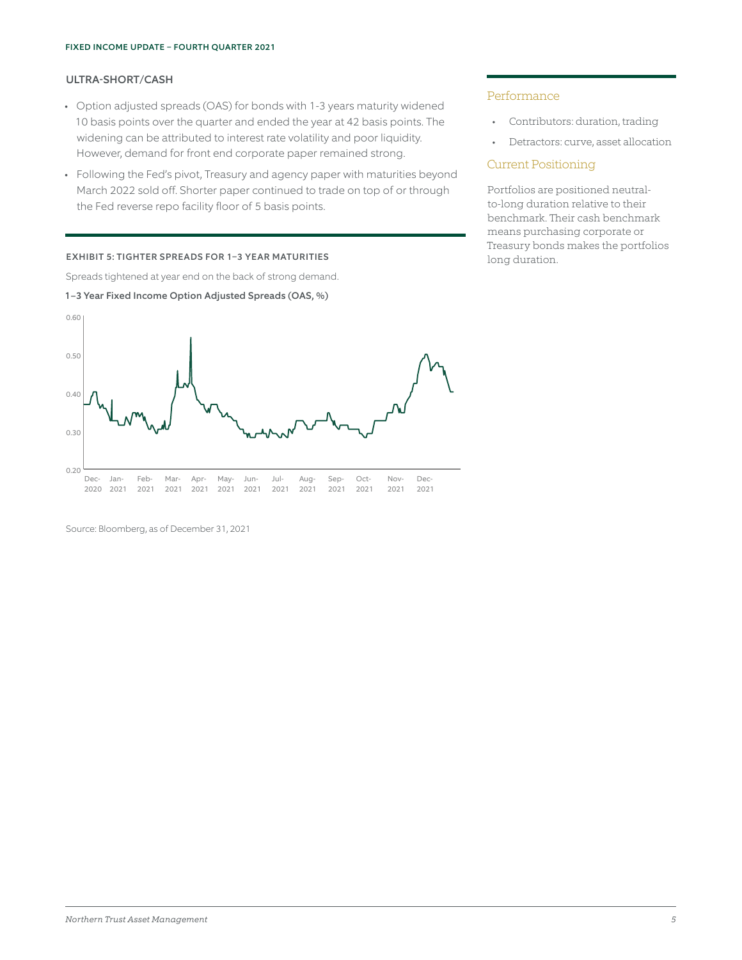# ULTRA-SHORT/CASH

- Option adjusted spreads (OAS) for bonds with 1-3 years maturity widened 10 basis points over the quarter and ended the year at 42 basis points. The widening can be attributed to interest rate volatility and poor liquidity. However, demand for front end corporate paper remained strong.
- Following the Fed's pivot, Treasury and agency paper with maturities beyond March 2022 sold off. Shorter paper continued to trade on top of or through the Fed reverse repo facility floor of 5 basis points.

#### EXHIBIT 5: TIGHTER SPREADS FOR 1–3 YEAR MATURITIES

Spreads tightened at year end on the back of strong demand.

1–3 Year Fixed Income Option Adjusted Spreads (OAS, %)

# Performance

- Contributors: duration, trading
- Detractors: curve, asset allocation

## Current Positioning

Portfolios are positioned neutralto-long duration relative to their benchmark. Their cash benchmark means purchasing corporate or Treasury bonds makes the portfolios long duration.

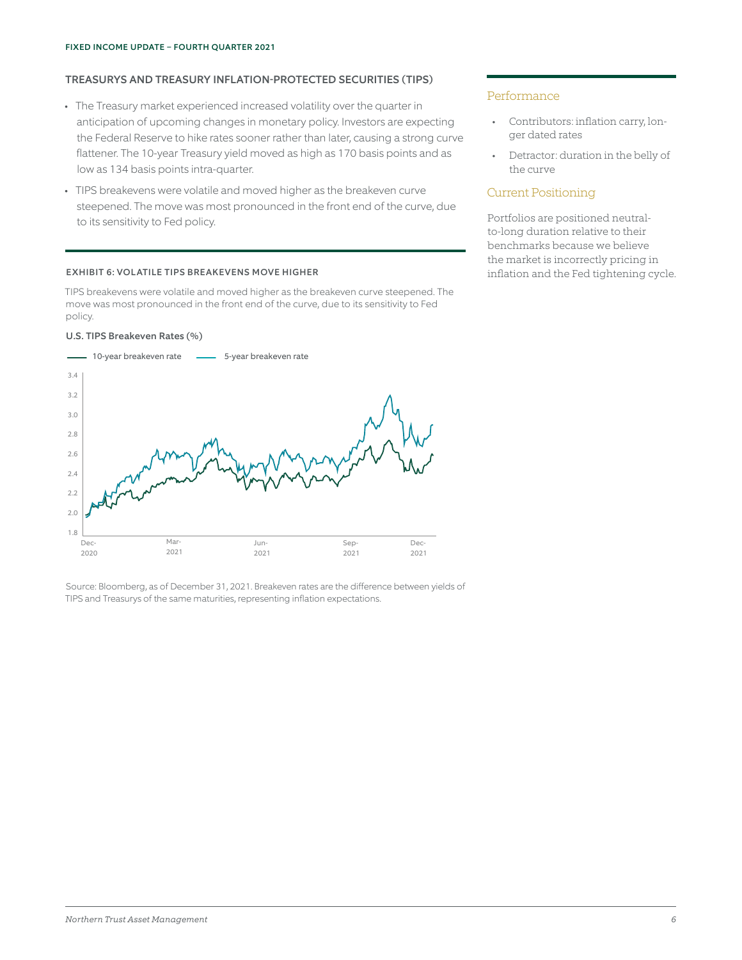# TREASURYS AND TREASURY INFLATION-PROTECTED SECURITIES (TIPS)

- The Treasury market experienced increased volatility over the quarter in anticipation of upcoming changes in monetary policy. Investors are expecting the Federal Reserve to hike rates sooner rather than later, causing a strong curve flattener. The 10-year Treasury yield moved as high as 170 basis points and as low as 134 basis points intra-quarter.
- TIPS breakevens were volatile and moved higher as the breakeven curve steepened. The move was most pronounced in the front end of the curve, due to its sensitivity to Fed policy.

#### EXHIBIT 6: VOLATILE TIPS BREAKEVENS MOVE HIGHER

TIPS breakevens were volatile and moved higher as the breakeven curve steepened. The move was most pronounced in the front end of the curve, due to its sensitivity to Fed policy.

#### U.S. TIPS Breakeven Rates (%)



Source: Bloomberg, as of December 31, 2021. Breakeven rates are the difference between yields of TIPS and Treasurys of the same maturities, representing inflation expectations.

#### Performance

- Contributors: inflation carry, longer dated rates
- Detractor: duration in the belly of the curve

## Current Positioning

Portfolios are positioned neutralto-long duration relative to their benchmarks because we believe the market is incorrectly pricing in inflation and the Fed tightening cycle.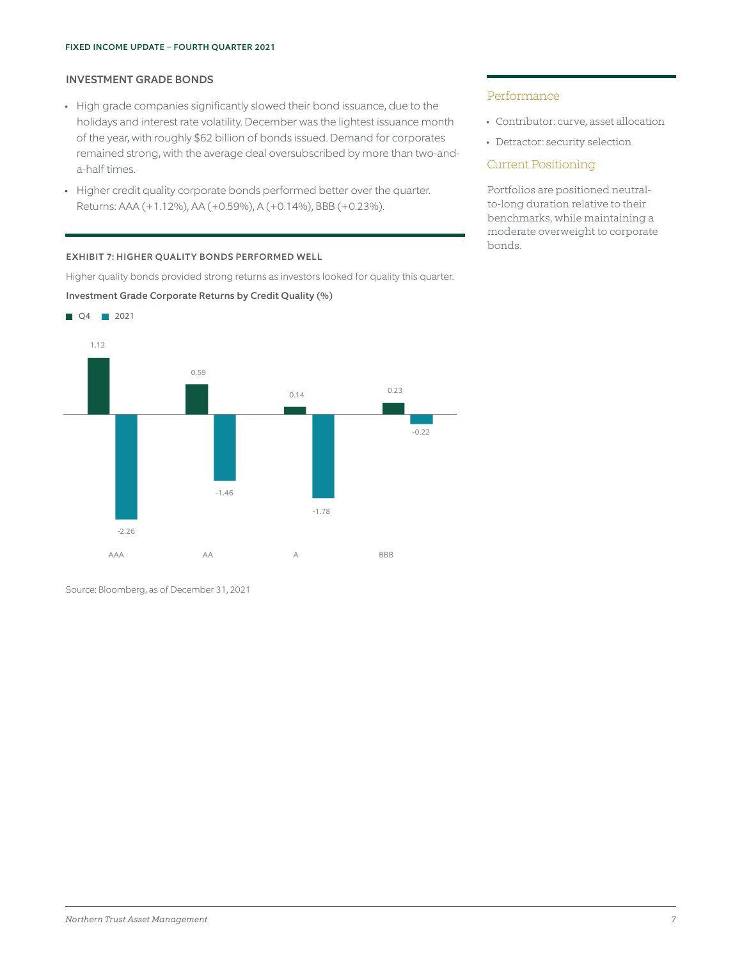# INVESTMENT GRADE BONDS

- High grade companies significantly slowed their bond issuance, due to the holidays and interest rate volatility. December was the lightest issuance month of the year, with roughly \$62 billion of bonds issued. Demand for corporates remained strong, with the average deal oversubscribed by more than two-anda-half times.
- Higher credit quality corporate bonds performed better over the quarter. Returns: AAA (+1.12%), AA (+0.59%), A (+0.14%), BBB (+0.23%).

EXHIBIT 7: HIGHER QUALITY BONDS PERFORMED WELL

Higher quality bonds provided strong returns as investors looked for quality this quarter.

Investment Grade Corporate Returns by Credit Quality (%)



# Performance

- Contributor: curve, asset allocation
- Detractor: security selection

## Current Positioning

Portfolios are positioned neutralto-long duration relative to their benchmarks, while maintaining a moderate overweight to corporate bonds.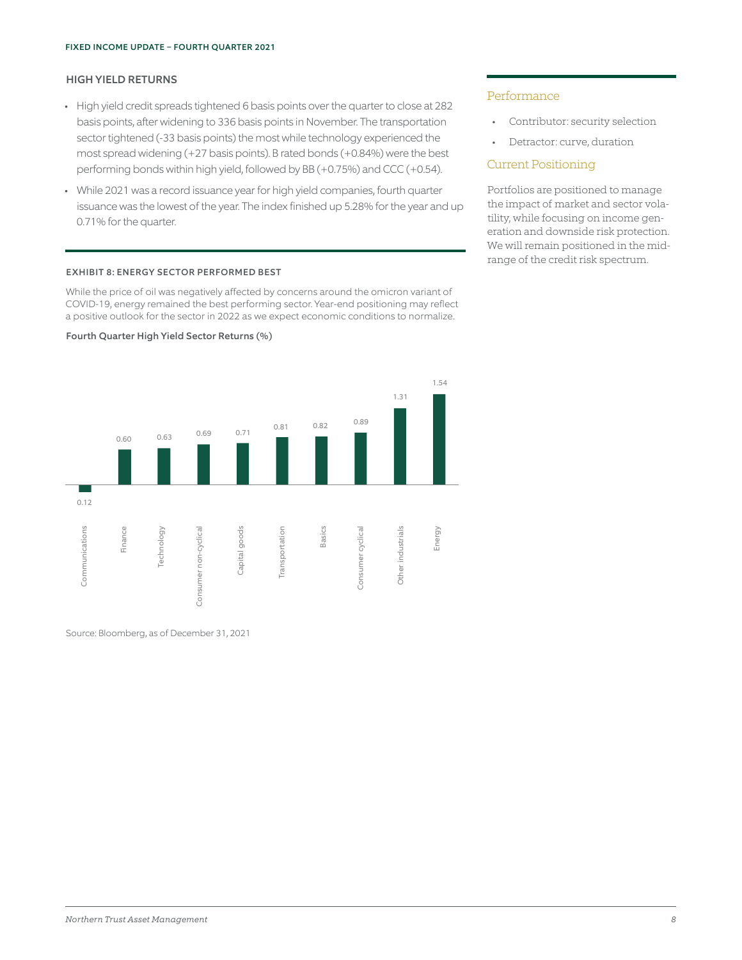# HIGH YIELD RETURNS

- High yield credit spreads tightened 6 basis points over the quarter to close at 282 basis points, after widening to 336 basis points in November. The transportation sector tightened (-33 basis points) the most while technology experienced the most spread widening (+27 basis points). B rated bonds (+0.84%) were the best performing bonds within high yield, followed by BB (+0.75%) and CCC (+0.54).
- While 2021 was a record issuance year for high yield companies, fourth quarter issuance was the lowest of the year. The index finished up 5.28% for the year and up 0.71% for the quarter.

#### EXHIBIT 8: ENERGY SECTOR PERFORMED BEST

While the price of oil was negatively affected by concerns around the omicron variant of COVID-19, energy remained the best performing sector. Year-end positioning may reflect a positive outlook for the sector in 2022 as we expect economic conditions to normalize.



Fourth Quarter High Yield Sector Returns (%)

## Performance

- Contributor: security selection
- Detractor: curve, duration

## Current Positioning

Portfolios are positioned to manage the impact of market and sector volatility, while focusing on income generation and downside risk protection. We will remain positioned in the midrange of the credit risk spectrum.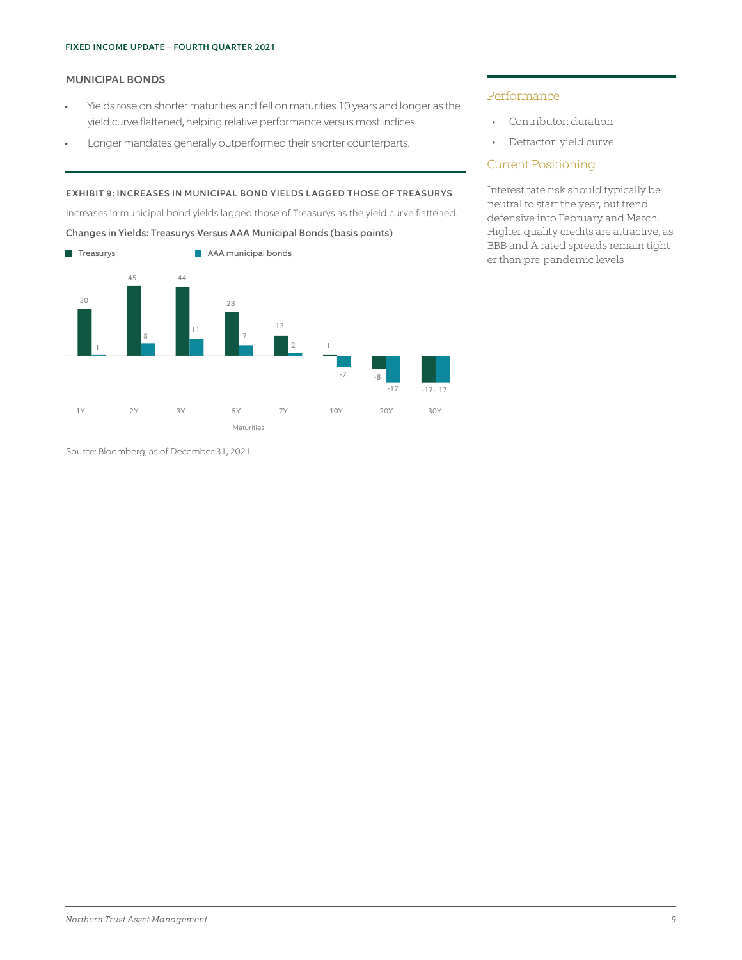# MUNICIPAL BONDS

- Yields rose on shorter maturities and fell on maturities 10 years and longer as the yield curve flattened, helping relative performance versus most indices.
- Longer mandates generally outperformed their shorter counterparts.

# EXHIBIT 9: INCREASES IN MUNICIPAL BOND YIELDS LAGGED THOSE OF TREASURYS

Increases in municipal bond yields lagged those of Treasurys as the yield curve flattened.

## Changes in Yields: Treasurys Versus AAA Municipal Bonds (basis points)



Source: Bloomberg, as of December 31, 2021

# Performance

- Contributor: duration
- Detractor: yield curve

# Current Positioning

Interest rate risk should typically be neutral to start the year, but trend defensive into February and March. Higher quality credits are attractive, as BBB and A rated spreads remain tight-